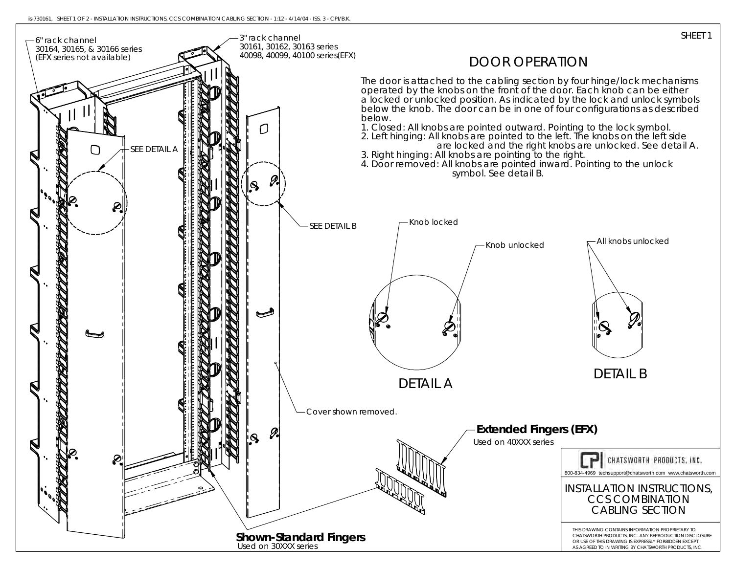